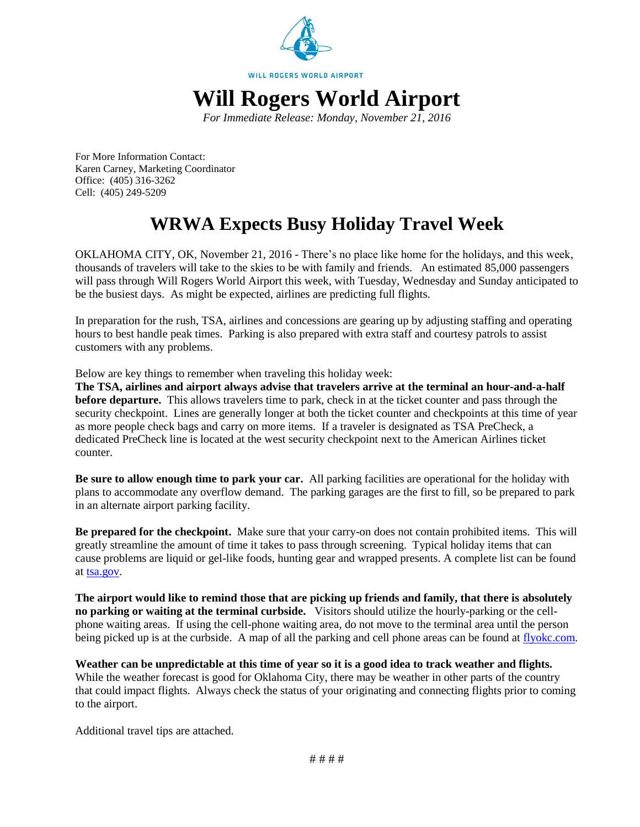

*For Immediate Release: Monday, November 21, 2016*

For More Information Contact: Karen Carney, Marketing Coordinator Office: (405) 316-3262 Cell: (405) 249-5209

# **WRWA Expects Busy Holiday Travel Week**

OKLAHOMA CITY, OK, November 21, 2016 - There's no place like home for the holidays, and this week, thousands of travelers will take to the skies to be with family and friends. An estimated 85,000 passengers will pass through Will Rogers World Airport this week, with Tuesday, Wednesday and Sunday anticipated to be the busiest days. As might be expected, airlines are predicting full flights.

In preparation for the rush, TSA, airlines and concessions are gearing up by adjusting staffing and operating hours to best handle peak times. Parking is also prepared with extra staff and courtesy patrols to assist customers with any problems.

Below are key things to remember when traveling this holiday week:

**The TSA, airlines and airport always advise that travelers arrive at the terminal an hour-and-a-half before departure.** This allows travelers time to park, check in at the ticket counter and pass through the security checkpoint. Lines are generally longer at both the ticket counter and checkpoints at this time of year as more people check bags and carry on more items. If a traveler is designated as TSA PreCheck, a dedicated PreCheck line is located at the west security checkpoint next to the American Airlines ticket counter.

**Be sure to allow enough time to park your car.** All parking facilities are operational for the holiday with plans to accommodate any overflow demand. The parking garages are the first to fill, so be prepared to park in an alternate airport parking facility.

**Be prepared for the checkpoint.** Make sure that your carry-on does not contain prohibited items. This will greatly streamline the amount of time it takes to pass through screening. Typical holiday items that can cause problems are liquid or gel-like foods, hunting gear and wrapped presents. A complete list can be found at [tsa.gov.](https://www.tsa.gov/travel/security-screening/prohibited-items)

**The airport would like to remind those that are picking up friends and family, that there is absolutely no parking or waiting at the terminal curbside.** Visitors should utilize the hourly-parking or the cellphone waiting areas. If using the cell-phone waiting area, do not move to the terminal area until the person being picked up is at the curbside. A map of all the parking and cell phone areas can be found at [flyokc.com.](http://www.flyokc.com/AirportGuide.aspx#parking)

**Weather can be unpredictable at this time of year so it is a good idea to track weather and flights.** While the weather forecast is good for Oklahoma City, there may be weather in other parts of the country that could impact flights. Always check the status of your originating and connecting flights prior to coming to the airport.

Additional travel tips are attached.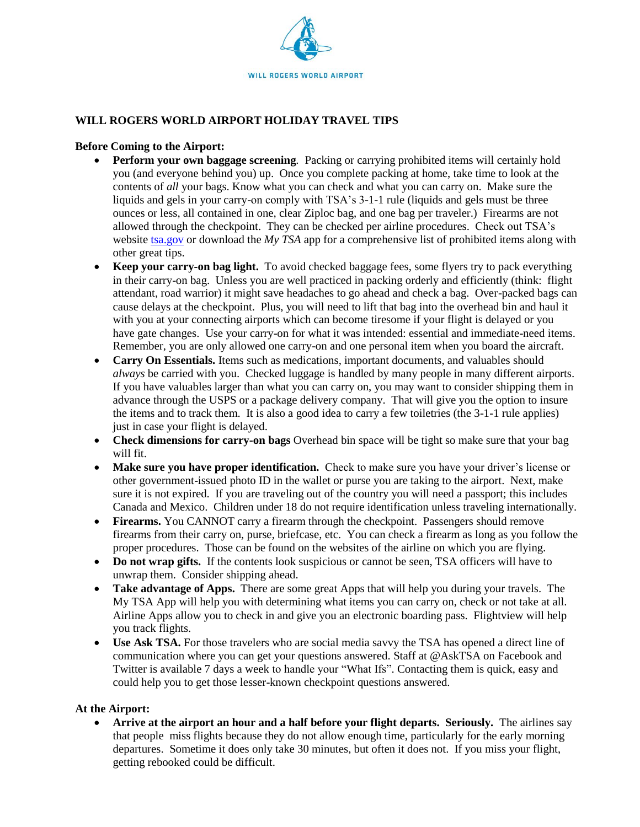

## **WILL ROGERS WORLD AIRPORT HOLIDAY TRAVEL TIPS**

#### **Before Coming to the Airport:**

- **Perform your own baggage screening***.* Packing or carrying prohibited items will certainly hold you (and everyone behind you) up. Once you complete packing at home, take time to look at the contents of *all* your bags. Know what you can check and what you can carry on. Make sure the liquids and gels in your carry-on comply with TSA's 3-1-1 rule (liquids and gels must be three ounces or less, all contained in one, clear Ziploc bag, and one bag per traveler.) Firearms are not allowed through the checkpoint. They can be checked per airline procedures. Check out TSA's website [tsa.gov](http://tsa.gov/) or download the *My TSA* app for a comprehensive list of prohibited items along with other great tips.
- **Keep your carry-on bag light.** To avoid checked baggage fees, some flyers try to pack everything in their carry-on bag. Unless you are well practiced in packing orderly and efficiently (think: flight attendant, road warrior) it might save headaches to go ahead and check a bag. Over-packed bags can cause delays at the checkpoint. Plus, you will need to lift that bag into the overhead bin and haul it with you at your connecting airports which can become tiresome if your flight is delayed or you have gate changes. Use your carry-on for what it was intended: essential and immediate-need items. Remember, you are only allowed one carry-on and one personal item when you board the aircraft.
- **Carry On Essentials.** Items such as medications, important documents, and valuables should *always* be carried with you. Checked luggage is handled by many people in many different airports. If you have valuables larger than what you can carry on, you may want to consider shipping them in advance through the USPS or a package delivery company. That will give you the option to insure the items and to track them. It is also a good idea to carry a few toiletries (the 3-1-1 rule applies) just in case your flight is delayed.
- Check dimensions for carry-on bags Overhead bin space will be tight so make sure that your bag will fit.
- **Make sure you have proper identification.** Check to make sure you have your driver's license or other government-issued photo ID in the wallet or purse you are taking to the airport. Next, make sure it is not expired. If you are traveling out of the country you will need a passport; this includes Canada and Mexico. Children under 18 do not require identification unless traveling internationally.
- **Firearms.** You CANNOT carry a firearm through the checkpoint. Passengers should remove firearms from their carry on, purse, briefcase, etc. You can check a firearm as long as you follow the proper procedures. Those can be found on the websites of the airline on which you are flying.
- Do not wrap gifts. If the contents look suspicious or cannot be seen, TSA officers will have to unwrap them. Consider shipping ahead.
- **Take advantage of Apps.** There are some great Apps that will help you during your travels. The My TSA App will help you with determining what items you can carry on, check or not take at all. Airline Apps allow you to check in and give you an electronic boarding pass. Flightview will help you track flights.
- **Use Ask TSA.** For those travelers who are social media savvy the TSA has opened a direct line of communication where you can get your questions answered. Staff at @AskTSA on Facebook and Twitter is available 7 days a week to handle your "What Ifs". Contacting them is quick, easy and could help you to get those lesser-known checkpoint questions answered.

#### **At the Airport:**

• Arrive at the airport an hour and a half before your flight departs. Seriously. The airlines say that people miss flights because they do not allow enough time, particularly for the early morning departures. Sometime it does only take 30 minutes, but often it does not. If you miss your flight, getting rebooked could be difficult.